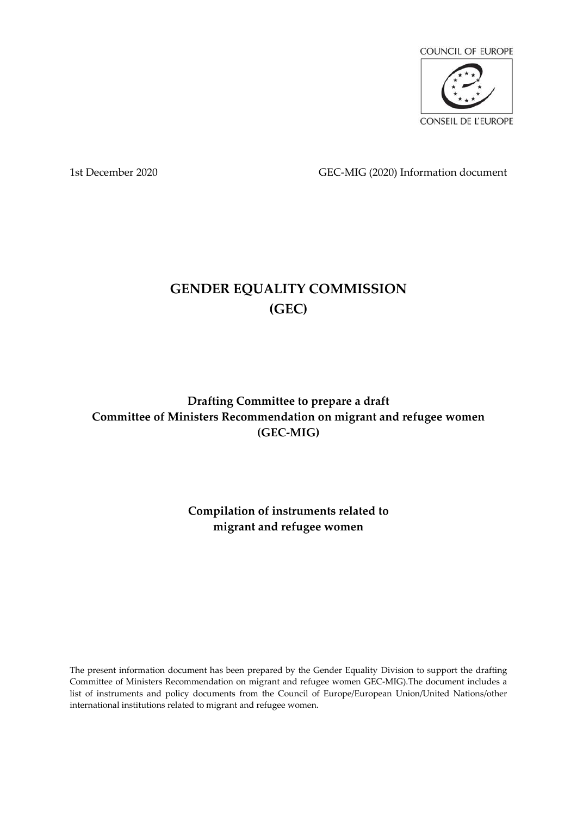

1st December 2020 GEC-MIG (2020) Information document

# **GENDER EQUALITY COMMISSION (GEC)**

**Drafting Committee to prepare a draft Committee of Ministers Recommendation on migrant and refugee women (GEC-MIG)**

> **Compilation of instruments related to migrant and refugee women**

The present information document has been prepared by the Gender Equality Division to support the drafting Committee of Ministers Recommendation on migrant and refugee women GEC-MIG).The document includes a list of instruments and policy documents from the Council of Europe/European Union/United Nations/other international institutions related to migrant and refugee women.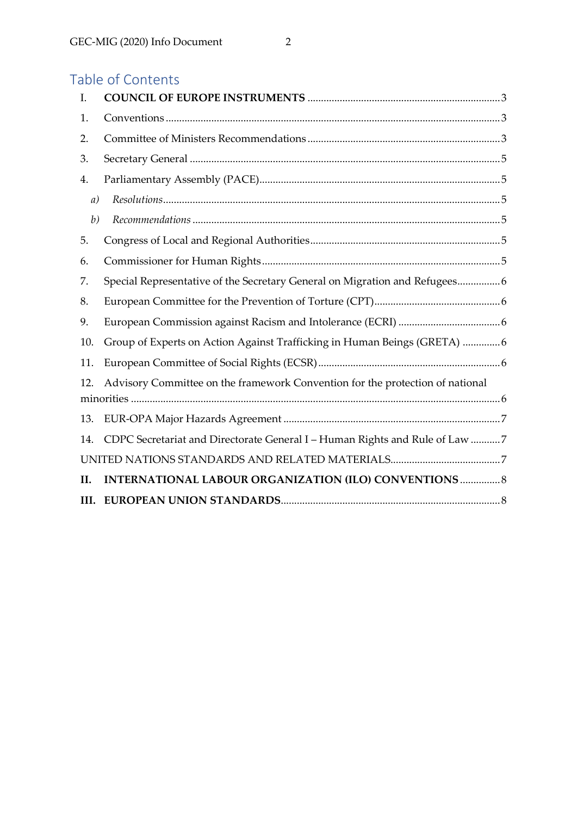| I.   |                                                                               |
|------|-------------------------------------------------------------------------------|
| 1.   |                                                                               |
| 2.   |                                                                               |
| 3.   |                                                                               |
| 4.   |                                                                               |
| a)   | $\label{eq:resolution} Resolutions$                                           |
| b)   |                                                                               |
| 5.   |                                                                               |
| 6.   |                                                                               |
| 7.   | Special Representative of the Secretary General on Migration and Refugees6    |
| 8.   |                                                                               |
| 9.   |                                                                               |
| 10.  | Group of Experts on Action Against Trafficking in Human Beings (GRETA) 6      |
| 11.  |                                                                               |
| 12.  | Advisory Committee on the framework Convention for the protection of national |
| 13.  |                                                                               |
| 14.  | CDPC Secretariat and Directorate General I - Human Rights and Rule of Law 7   |
|      |                                                                               |
| II.  | <b>INTERNATIONAL LABOUR ORGANIZATION (ILO) CONVENTIONS  8</b>                 |
| III. |                                                                               |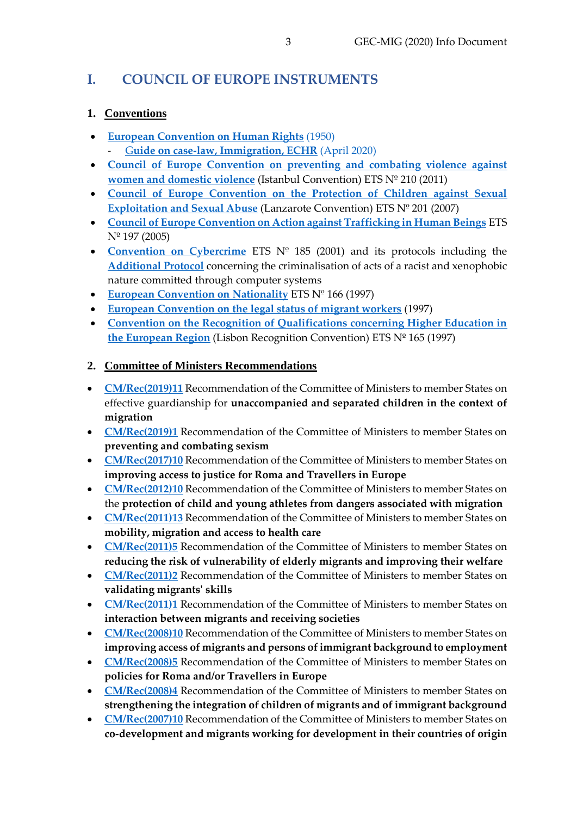## <span id="page-2-0"></span>**I. COUNCIL OF EUROPE INSTRUMENTS**

### <span id="page-2-1"></span>**1. Conventions**

- **[European Convention on Human Rights](https://www.echr.coe.int/Documents/Convention_Eng.pdf)** (1950) - G**[uide on case-law, Immigration, ECHR](https://echr.coe.int/Documents/Guide_Immigration_ENG.pdf)** (April 2020)
- **[Council of Europe Convention on preventing and combating violence against](https://www.coe.int/en/web/conventions/full-list/-/conventions/treaty/210)  [women and domestic violence](https://www.coe.int/en/web/conventions/full-list/-/conventions/treaty/210)** (Istanbul Convention) ETS Nº 210 (2011)
- **[Council of Europe Convention on the Protection of Children against Sexual](https://www.coe.int/en/web/conventions/full-list/-/conventions/treaty/201)  [Exploitation and Sexual Abuse](https://www.coe.int/en/web/conventions/full-list/-/conventions/treaty/201)** (Lanzarote Convention) ETS Nº 201 (2007)
- **[Council of Europe Convention on Action against Trafficking in Human Beings](https://www.coe.int/en/web/conventions/full-list/-/conventions/treaty/197)** ETS Nº 197 (2005)
- **[Convention on Cybercrime](https://www.coe.int/en/web/conventions/full-list/-/conventions/rms/0900001680081561)** ETS Nº 185 (2001) and its protocols including the **[Additional Protocol](https://www.coe.int/en/web/conventions/full-list/-/conventions/treaty/189)** concerning the criminalisation of acts of a racist and xenophobic nature committed through computer systems
- **[European Convention on Nationality](https://rm.coe.int/168007f2c8)** ETS Nº 166 (1997)
- **[European Convention on the legal status of migrant workers](https://rm.coe.int/1680077323)** (1997)
- **[Convention on the Recognition of Qualifications concerning Higher Education in](https://www.coe.int/en/web/conventions/full-list/-/conventions/treaty/165)  [the European Region](https://www.coe.int/en/web/conventions/full-list/-/conventions/treaty/165)** (Lisbon Recognition Convention) ETS Nº 165 (1997)

## <span id="page-2-2"></span>**2. Committee of Ministers Recommendations**

- **[CM/Rec\(2019\)11](http://rm.coe.int/cm-rec-2019-11-guardianship-en/16809ccfe2)** Recommendation of the Committee of Ministers to member States on effective guardianship for **unaccompanied and separated children in the context of migration**
- [CM/Rec\(2019\)1](https://rm.coe.int/168093b26a) Recommendation of the Committee of Ministers to member States on **preventing and combating sexism**
- [CM/Rec\(2017\)10](https://rm.coe.int/168075f2aa) Recommendation of the Committee of Ministers to member States on **improving access to justice for Roma and Travellers in Europe**
- **[CM/Rec\(2012\)10](https://search.coe.int/cm/Pages/result_details.aspx?ObjectId=09000016805c9d37)** Recommendation of the Committee of Ministers to member States on the **protection of child and young athletes from dangers associated with migration**
- **[CM/Rec\(2011\)13](https://www.coe.int/t/dg3/migration/archives/Source/Recommendations/CM%20ExM%20Rec_2011_13E%20Migration%20Exp%20Memo_en.pdf)** Recommendation of the Committee of Ministers to member States on **mobility, migration and access to health care**
- **[CM/Rec\(2011\)5](https://www.coe.int/t/democracy/migration/Source/migration/CMRec_2011_5E.doc)** Recommendation of the Committee of Ministers to member States on **reducing the risk of vulnerability of elderly migrants and improving their welfare**
- **[CM/Rec\(2011\)2](https://www.coe.int/t/democracy/migration/Source/migration/CMRec_2011_2E.doc)** Recommendation of the Committee of Ministers to member States on **validating migrants' skills**
- [CM/Rec\(2011\)1](https://www.coe.int/t/democracy/migration/Source/migration/CMRec_2011_5E.doc) Recommendation of the Committee of Ministers to member States on **interaction between migrants and receiving societies**
- **[CM/Rec\(2008\)10](https://www.coe.int/t/democracy/migration/Source/migration/CMRec_2008_10E.doc)** Recommendation of the Committee of Ministers to member States on **improving access of migrants and persons of immigrant background to employment**
- [CM/Rec\(2008\)5](https://rm.coe.int/09000016805b0a1c) Recommendation of the Committee of Ministers to member States on **policies for Roma and/or Travellers in Europe**
- **[CM/Rec\(2008\)4](https://www.coe.int/t/democracy/migration/Source/migration/CMRec_2008_4E.doc)** Recommendation of the Committee of Ministers to member States on **strengthening the integration of children of migrants and of immigrant background**
- **[CM/Rec\(2007\)10](https://www.coe.int/t/dg3/migration/archives/Source/Recommendations/Recommendation%20CM%20Rec_2007_10_en.pdf)** Recommendation of the Committee of Ministers to member States on **co-development and migrants working for development in their countries of origin**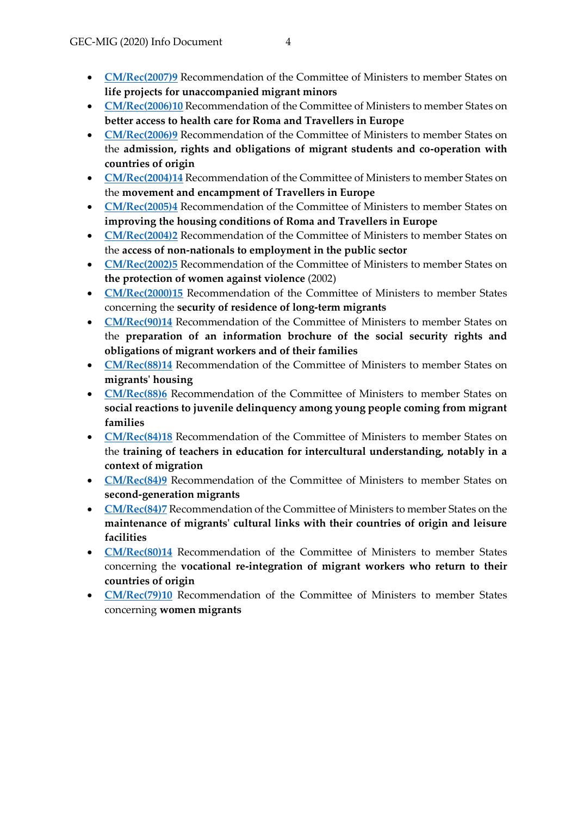- **[CM/Rec\(2006\)10](https://rm.coe.int/09000016805aff57)** Recommendation of the Committee of Ministers to member States on **better access to health care for Roma and Travellers in Europe**
- **[CM/Rec\(2006\)9](https://www.coe.int/t/dg3/migration/archives/Source/Recommendations/Recommendation%20Rec_2006_9_en.pdf)** Recommendation of the Committee of Ministers to member States on the **admission, rights and obligations of migrant students and co-operation with countries of origin**
- **[CM/Rec\(2004\)14](https://www.refworld.org/docid/4278d1d44.html)** Recommendation of the Committee of Ministers to member States on the **movement and encampment of Travellers in Europe**
- **[CM/Rec\(2005\)4](http://rm.coe.int/09000016805dad2c)** Recommendation of the Committee of Ministers to member States on **improving the housing conditions of Roma and Travellers in Europe**
- **[CM/Rec\(2004\)2](https://www.coe.int/t/democracy/migration/ressources/recommendations-resolutions_en.asp)** Recommendation of the Committee of Ministers to member States on the **access of non-nationals to employment in the public sector**
- **[CM/Rec\(2002\)5](https://www.coe.int/en/web/genderequality/recommendation-rec-2002-5-and-other-tools-of-the-council-of-europe-concerning-violence-against-women)** Recommendation of the Committee of Ministers to member States on **the protection of women against violence** (2002)
- **[CM/Rec\(2000\)15](https://rm.coe.int/native/09000016804eb800)** Recommendation of the Committee of Ministers to member States concerning the **security of residence of long-term migrants**
- **[CM/Rec\(90\)14](http://cm.coe.int/ta/rec/1990/90r14.htm)** Recommendation of the Committee of Ministers to member States on the **preparation of an information brochure of the social security rights and obligations of migrant workers and of their families**
- **[CM/Rec\(88\)14](http://wcd.coe.int/ViewDoc.jsp?id=708677&BackColorInternet=9999CC&BackColorIntranet=FFBB55&BackColorLogged=FFAC75)** Recommendation of the Committee of Ministers to member States on **migrants' housing**
- [CM/Rec\(88\)6](https://rm.coe.int/CoERMPublicCommonSearchServices/DisplayDCTMContent?documentId=09000016804eedd0) Recommendation of the Committee of Ministers to member States on **social reactions to juvenile delinquency among young people coming from migrant families**
- **[CM/Rec\(84\)18](https://www.ohchr.org/EN/Issues/Education/Training/Compilation/Pages/RecommendationNoR(84)18toMemberStatesontheTrainingofTeachersinEducationforInterculturalUnderstanding,NotablyinacontextofMi.aspx)** Recommendation of the Committee of Ministers to member States on the **training of teachers in education for intercultural understanding, notably in a context of migration**
- [CM/Rec\(84\)9](https://www.coe.int/t/democracy/migration/Source/migration/CMRec%20_84_9E.pdf) Recommendation of the Committee of Ministers to member States on **second-generation migrants**
- **[CM/Rec\(84\)7](https://wcd.coe.int/ViewDoc.jsp?id=692591&Site=COE&BackColorInternet=C3C3C3&BackColorIntranet=EDB021&BackColorLogged=F5D383)** Recommendation of the Committee of Ministers to member States on the **maintenance of migrants' cultural links with their countries of origin and leisure facilities**
- **[CM/Rec\(80\)14](http://wcd.coe.int/ViewDoc.jsp?id=679625&BackColorInternet=9999CC&BackColorIntranet=FFBB55&BackColorLogged=FFAC75)** Recommendation of the Committee of Ministers to member States concerning the **vocational re-integration of migrant workers who return to their countries of origin**
- [CM/Rec\(79\)10](https://rm.coe.int/native/0900001680506f32) Recommendation of the Committee of Ministers to member States concerning **women migrants**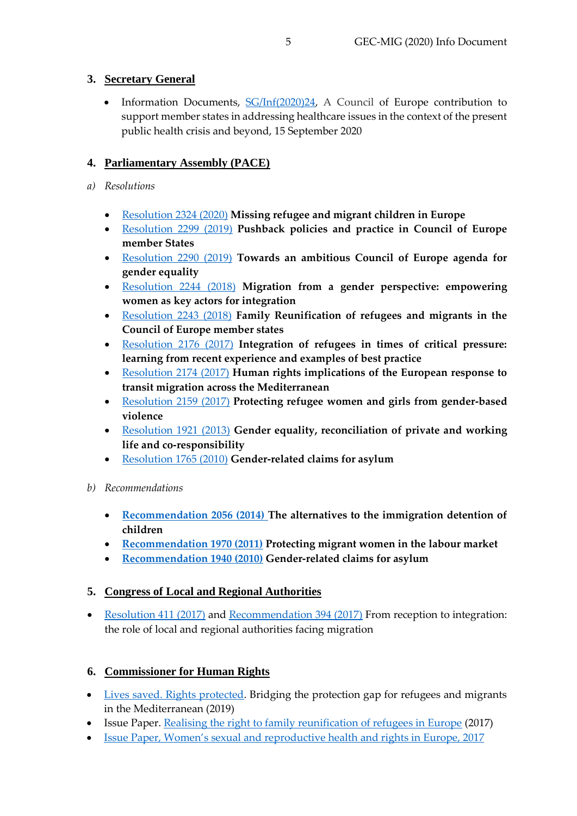### <span id="page-4-0"></span>**3. Secretary General**

• Information Documents, [SG/Inf\(2020\)24,](https://search.coe.int/cm/Pages/result_details.aspx?ObjectId=09000016809f953a) A Council of Europe contribution to support member states in addressing healthcare issues in the context of the present public health crisis and beyond, 15 September 2020

#### <span id="page-4-1"></span>**4. Parliamentary Assembly (PACE)**

- <span id="page-4-2"></span>*a) Resolutions*
	- [Resolution 2324 \(2020\)](http://assembly.coe.int/nw/xml/XRef/Xref-XML2HTML-EN.asp?fileid=28595&lang=en) **Missing refugee and migrant children in Europe**
	- [Resolution 2299](http://assembly.coe.int/nw/xml/XRef/Xref-XML2HTML-en.asp?fileid=28074&lang=en) (2019) **Pushback policies and practice in Council of Europe member States**
	- [Resolution 2290 \(2019\)](http://assembly.coe.int/nw/xml/XRef/Xref-XML2HTML-en.asp?fileid=28018&lang=en) **Towards an ambitious Council of Europe agenda for gender equality**
	- [Resolution 2244](http://assembly.coe.int/nw/xml/XRef/Xref-XML2HTML-en.asp?fileid=25183&lang=en) (2018) **Migration from a gender perspective: empowering women as key actors for integration**
	- [Resolution 2243](http://assembly.coe.int/nw/xml/XRef/Xref-XML2HTML-en.asp?fileid=25185&lang=en) (2018) **Family Reunification of refugees and migrants in the Council of Europe member states**
	- [Resolution 2176 \(2017\)](http://assembly.coe.int/nw/xml/XRef/Xref-XML2HTML-EN.asp?fileid=23966&lang=en) **Integration of refugees in times of critical pressure: learning from recent experience and examples of best practice**
	- [Resolution 2174 \(2017\)](https://pace.coe.int/en/files/23964) **Human rights implications of the European response to transit migration across the Mediterranean**
	- [Resolution 2159](https://assembly.coe.int/nw/xml/XRef/Xref-XML2HTML-en.asp?fileid=23700&lang=en) (2017) **Protecting refugee women and girls from gender-based violence**
	- [Resolution 1921](https://assembly.coe.int/nw/xml/XRef/Xref-XML2HTML-en.asp?fileid=19478&lang=en) (2013) **Gender equality, reconciliation of private and working life and co-responsibility**
	- [Resolution 1765 \(2010\)](http://assembly.coe.int/nw/xml/XRef/X2H-Xref-ViewHTML.asp?FileID=17915&lang=en) **Gender-related claims for asylum**
- <span id="page-4-3"></span>*b) Recommendations*
	- **[Recommendation 2056 \(2014\)](https://assembly.coe.int/nw/xml/XRef/Xref-XML2HTML-en.asp?fileid=21296&lang=en) The alternatives to the immigration detention of children**
	- **[Recommendation 1970 \(2011\)](https://pace.coe.int/en/files/13130) Protecting migrant women in the labour market**
	- **[Recommendation 1940](https://assembly.coe.int/nw/xml/XRef/Xref-XML2HTML-en.asp?fileid=17916&lang=en) (2010) Gender-related claims for asylum**

## <span id="page-4-4"></span>**5. Congress of Local and Regional Authorities**

• [Resolution 411 \(2017\)](https://rm.coe.int/CoERMPublicCommonSearchServices/DisplayDCTMContent?documentId=0900001680703e5e) and [Recommendation 394 \(2017\)](https://rm.coe.int/CoERMPublicCommonSearchServices/DisplayDCTMContent?documentId=0900001680703ef3) From reception to integration: the role of local and regional authorities facing migration

## <span id="page-4-5"></span>**6. Commissioner for Human Rights**

- [Lives saved. Rights protected.](https://rm.coe.int/lives-saved-rights-protected-bridging-the-protection-gap-for-refugees-/168094eb87) Bridging the protection gap for refugees and migrants in the Mediterranean (2019)
- Issue Paper. [Realising the right to family reunification of refugees in Europe](https://rm.coe.int/prems-052917-gbr-1700-realising-refugees-160x240-web/1680724ba0) (2017)
- Issue Paper, Women's sexual and reproductive health [and rights in Europe, 2017](http://rm.coe.int/women-s-sexual-and-reproductive-health-and-rights-in-europe-issue-pape/168076dead)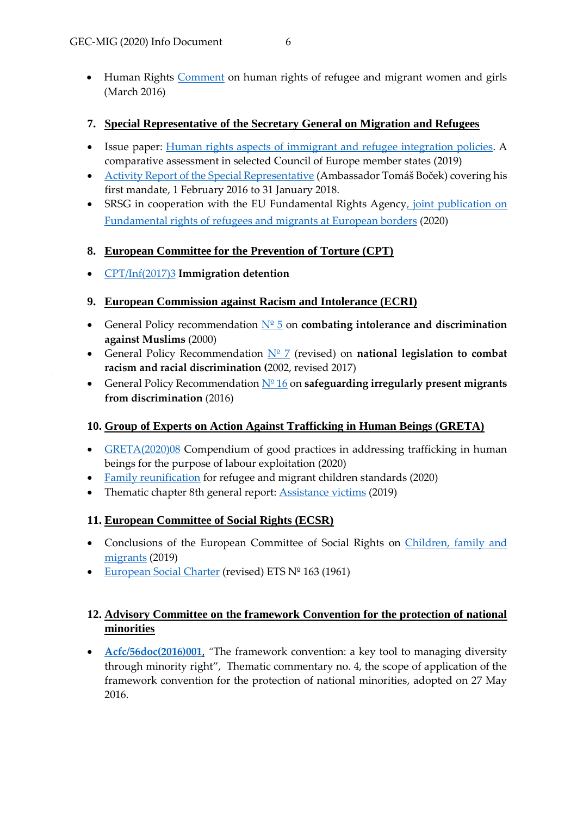• Human Rights [Comment](https://www.coe.int/en/web/commissioner/-/human-rights-of-refugee-and-migrant-women-and-girls-need-to-be-better-protected) on human rights of refugee and migrant women and girls (March 2016)

#### <span id="page-5-0"></span>**7. Special Representative of the Secretary General on Migration and Refugees**

- Issue paper: [Human rights aspects of immigrant and refugee integration policies.](https://rm.coe.int/168093de2c) A comparative assessment in selected Council of Europe member states (2019)
- [Activity Report of the Special Representative](http://rm.coe.int/first-report-on-the-activities-of-the-secretary-general-s-special-repr/168078b7ff) (Ambassador Tomáš Boček) covering his first mandate, 1 February 2016 to 31 January 2018.
- SRSG in cooperation with the EU Fundamental Rights Agency, joint publication on [Fundamental rights of refugees and migrants at European borders](https://fra.europa.eu/sites/default/files/fra_uploads/fra-coe-2020-european-law-land-borders_en.pdf) (2020)

#### <span id="page-5-1"></span>**8. [European Committee for the Prevention of Torture \(CPT\)](https://www.coe.int/t/democracy/migration/bodies/cpt_en.asp)**

[CPT/Inf\(2017\)3](https://rm.coe.int/16806fbf12) **Immigration detention**

#### <span id="page-5-2"></span>**9. European Commission against Racism and Intolerance (ECRI)**

- General Policy recommendation [Nº 5](http://rm.coe.int/ecri-general-policy-recommendation-no-5-on-combating-intolerance-and-d/16808b5a76) on **combating intolerance and discrimination against Muslims** (2000)
- General Policy Recommendation  $N^{\circ}$  7 (revised) on **national legislation to combat racism and racial discrimination (**2002, revised 2017)
- General Policy Recommendation [Nº](http://rm.coe.int/ecri-general-policy-recommendation-no-16-on-safeguarding-irregularly-p/16808b5b0b) 16 on **safeguarding irregularly present migrants from discrimination** (2016)

## <span id="page-5-3"></span>**10. [Group of Experts on Action Against Trafficking in Human Beings \(GRETA\)](https://www.coe.int/t/democracy/migration/bodies/greta_en.asp)**

- [GRETA\(2020\)08](https://rm.coe.int/mpendium-of-good-practices-in-addressing-trafficking-in-human-beings-f/16809f9bef) Compendium of good practices in addressing trafficking in human beings for the purpose of labour exploitation (2020)
- [Family reunification](https://rm.coe.int/family-reunification-for-refugee-and-migrant-children-standards-and-pr/16809e8320) for refugee and migrant children standards (2020)
- Thematic chapter 8th general report: [Assistance victims](https://rm.coe.int/assistance-victims-thematic-chapter-8th-general-report-en/16809ce2e9) (2019)

## <span id="page-5-4"></span>**11. [European Committee of Social Rights \(ECSR\)](https://www.coe.int/t/democracy/migration/bodies/ecsr_en.asp)**

- [Conclusions of the European Committee of Social Rights](https://www.coe.int/en/web/european-social-charter/-/social-rights-of-children-families-and-migrants-in-danger-across-europe-latest-annual-conclusions-from-the-european-committee-of-social-rights) on [Children, family and](https://www.coe.int/en/web/european-social-charter/-/social-rights-of-children-families-and-migrants-in-danger-across-europe-latest-annual-conclusions-from-the-european-committee-of-social-rights)  [migrants](https://www.coe.int/en/web/european-social-charter/-/social-rights-of-children-families-and-migrants-in-danger-across-europe-latest-annual-conclusions-from-the-european-committee-of-social-rights) (2019)
- [European Social Charter](https://www.coe.int/en/web/conventions/full-list/-/conventions/treaty/163) (revised) ETS Nº 163 (1961)

## <span id="page-5-5"></span>**12. Advisory Committee on the framework Convention for the protection of national minorities**

• [Acfc/56doc\(2016\)001](https://rm.coe.int/CoERMPublicCommonSearchServices/DisplayDCTMContent?documentId=09000016806a4811), "The framework convention: a key tool to managing diversity through minority right", Thematic commentary no. 4, the scope of application of the framework convention for the protection of national minorities, adopted on 27 May 2016.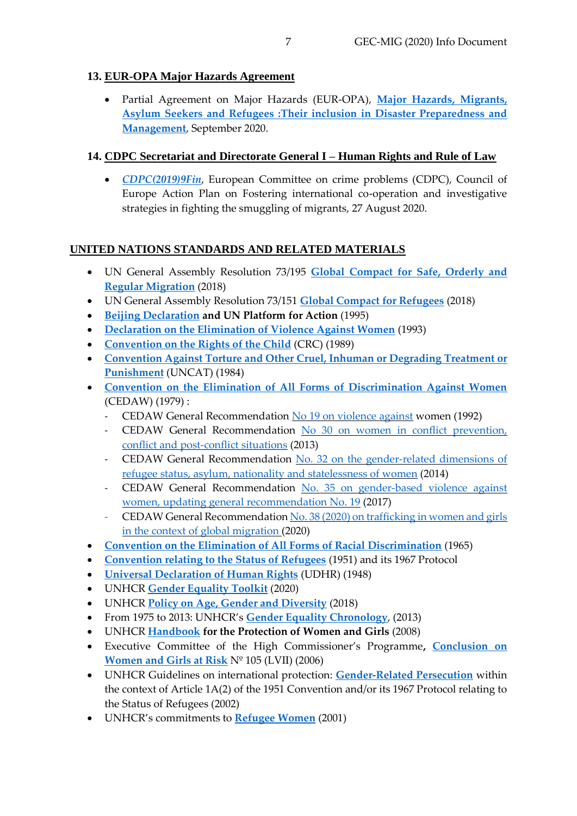### <span id="page-6-0"></span>**13. EUR-OPA Major Hazards Agreement**

 Partial Agreement on Major Hazards (EUR-OPA), **[Major Hazards, Migrants,](https://rm.coe.int/CoERMPublicCommonSearchServices/DisplayDCTMContent?documentId=09000016806acd58)  [Asylum Seekers and Refugees :T](https://rm.coe.int/CoERMPublicCommonSearchServices/DisplayDCTMContent?documentId=09000016806acd58)heir inclusion in Disaster Preparedness and Management**, September 2020.

#### <span id="page-6-1"></span>**14. CDPC Secretariat and Directorate General I – Human Rights and Rule of Law**

 *[CDPC\(2019\)9Fin](https://rm.coe.int/cdpc-2019-9fin-council-of-europe-action-plan-on-fostering-internationa/16809f7a06)*, European Committee on crime problems (CDPC), Council of Europe Action Plan on Fostering international co-operation and investigative strategies in fighting the smuggling of migrants, 27 August 2020.

#### <span id="page-6-2"></span>**UNITED NATIONS STANDARDS AND RELATED MATERIALS**

- UN General Assembly Resolution 73/195 **[Global Compact for Safe, Orderly and](http://www.un.org/en/ga/search/view_doc.asp?symbol=A/RES/73/195)  [Regular Migration](http://www.un.org/en/ga/search/view_doc.asp?symbol=A/RES/73/195)** (2018)
- UN General Assembly Resolution 73/151 **[Global Compact for Refugees](https://undocs.org/en/A/RES/73/151)** (2018)
- **[Beijing Declaration](https://www.un.org/en/events/pastevents/pdfs/Beijing_Declaration_and_Platform_for_Action.pdf) and UN Platform for Action** (1995)
- **[Declaration on the Elimination of Violence Against Women](https://www.un.org/en/genocideprevention/documents/atrocitycrimes/Doc.21_declaration%20elimination%20vaw.pdf)** (1993)
- **[Convention on the Rights of the Child](https://ec.europa.eu/antitrafficking/sites/antitrafficking/files/un_convention_on_the_rights_of_the_child_1.pdf)** (CRC) (1989)
- **[Convention Against Torture and Other Cruel, Inhuman or Degrading Treatment or](https://www.ohchr.org/Documents/ProfessionalInterest/cat.pdf)  [Punishment](https://www.ohchr.org/Documents/ProfessionalInterest/cat.pdf)** (UNCAT) (1984)
- **[Convention on the Elimination of All Forms of Discrimination Against Women](https://www.ohchr.org/Documents/ProfessionalInterest/cedaw.pdf)** (CEDAW) (1979) :
	- CEDAW General Recommendation No 19 on [violence](https://tbinternet.ohchr.org/Treaties/CEDAW/Shared%20Documents/1_Global/A_44_38_3724_E.pdf) against women (1992)
	- CEDAW General Recommendation No 30 on women in conflict [prevention,](https://www.resdal.org/wps_sp/assets/rec-30-cedaw.pdf) conflict and [post-conflict](https://www.resdal.org/wps_sp/assets/rec-30-cedaw.pdf) situations (2013)
	- CEDAW General Recommendation No. 32 on the [gender-related](https://www.refworld.org/pdfid/54620fb54.pdf) dimensions of refugee status, asylum, nationality and [statelessness](https://www.refworld.org/pdfid/54620fb54.pdf) of women (2014)
	- CEDAW General Recommendation No. 35 on [gender-based](https://tbinternet.ohchr.org/Treaties/CEDAW/Shared%20Documents/1_Global/CEDAW_C_GC_35_8267_E.pdf) violence against women, updating general [recommendation](https://tbinternet.ohchr.org/Treaties/CEDAW/Shared%20Documents/1_Global/CEDAW_C_GC_35_8267_E.pdf) No. 19 (2017)
	- CEDAW General Recommendation No. 38 (2020) on [trafficking](https://tbinternet.ohchr.org/_layouts/15/treatybodyexternal/Download.aspx?symbolno=CEDAW/C/GC/38&Lang=en) in women and girls in the context of global [migration](https://tbinternet.ohchr.org/_layouts/15/treatybodyexternal/Download.aspx?symbolno=CEDAW/C/GC/38&Lang=en) (2020)
- **[Convention on the Elimination of All Forms of Racial Discrimination](https://www.unodc.org/pdf/criminal_justice/Convention_on_the_Elimination_of_all_forms_of_Discrimination_against_Women.pdf)** (1965)
- **[Convention relating to the Status of Refugees](https://cms.emergency.unhcr.org/documents/11982/55726/Convention+relating+to+the+Status+of+Refugees+%28signed+28+July+1951%2C+entered+into+force+22+April+1954%29+189+UNTS+150+and+Protocol+relating+to+the+Status+of+Refugees+%28signed+31+January+1967%2C+entered+into+force+4+October+167%29+606+UNTS+267/0bf3248a-cfa8-4a60-864d-65cdfece1d47)** (1951) and its 1967 Protocol
- **[Universal Declaration of Human Rights](https://www.un.org/en/udhrbook/pdf/udhr_booklet_en_web.pdf)** (UDHR) (1948)
- UNHCR **[Gender Equality Toolkit](https://www.unhcr.org/publications/manuals/5e5cd64a7/unhcr-gender-equality-toolkit.html?query=women)** (2020)
- UNHCR **[Policy on Age, Gender and Diversity](https://www.refworld.org/docid/5bb628ea4.html)** (2018)
- From 1975 to 2013: UNHCR's **[Gender Equality Chronology](https://www.refworld.org/docid/53a2a5f54.html)**, (2013)
- UNHCR **[Handbook](https://www.refworld.org/docid/47cfc2962.html) for the Protection of Women and Girls** (2008)
- Executive Committee of the High Commissioner's Programme**, [Conclusion on](https://www.refworld.org/docid/45339d922.html)  [Women and Girls at Risk](https://www.refworld.org/docid/45339d922.html)** Nº 105 (LVII) (2006)
- UNHCR Guidelines on international protection: **[Gender-Related Persecution](https://www.unhcr.org/3d58ddef4.pdf)** within the context of Article 1A(2) of the 1951 Convention and/or its 1967 Protocol relating to the Status of Refugees (2002)
- UNHCR's commitments to **[Refugee Women](https://www.refworld.org/docid/479f3b2a2.html)** (2001)